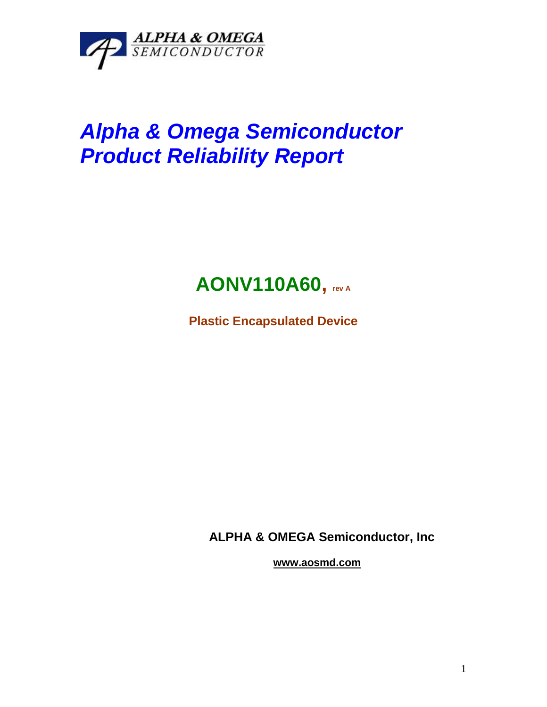

# *Alpha & Omega Semiconductor Product Reliability Report*

## **AONV110A60, rev <sup>A</sup>**

**Plastic Encapsulated Device**

**ALPHA & OMEGA Semiconductor, Inc**

**www.aosmd.com**